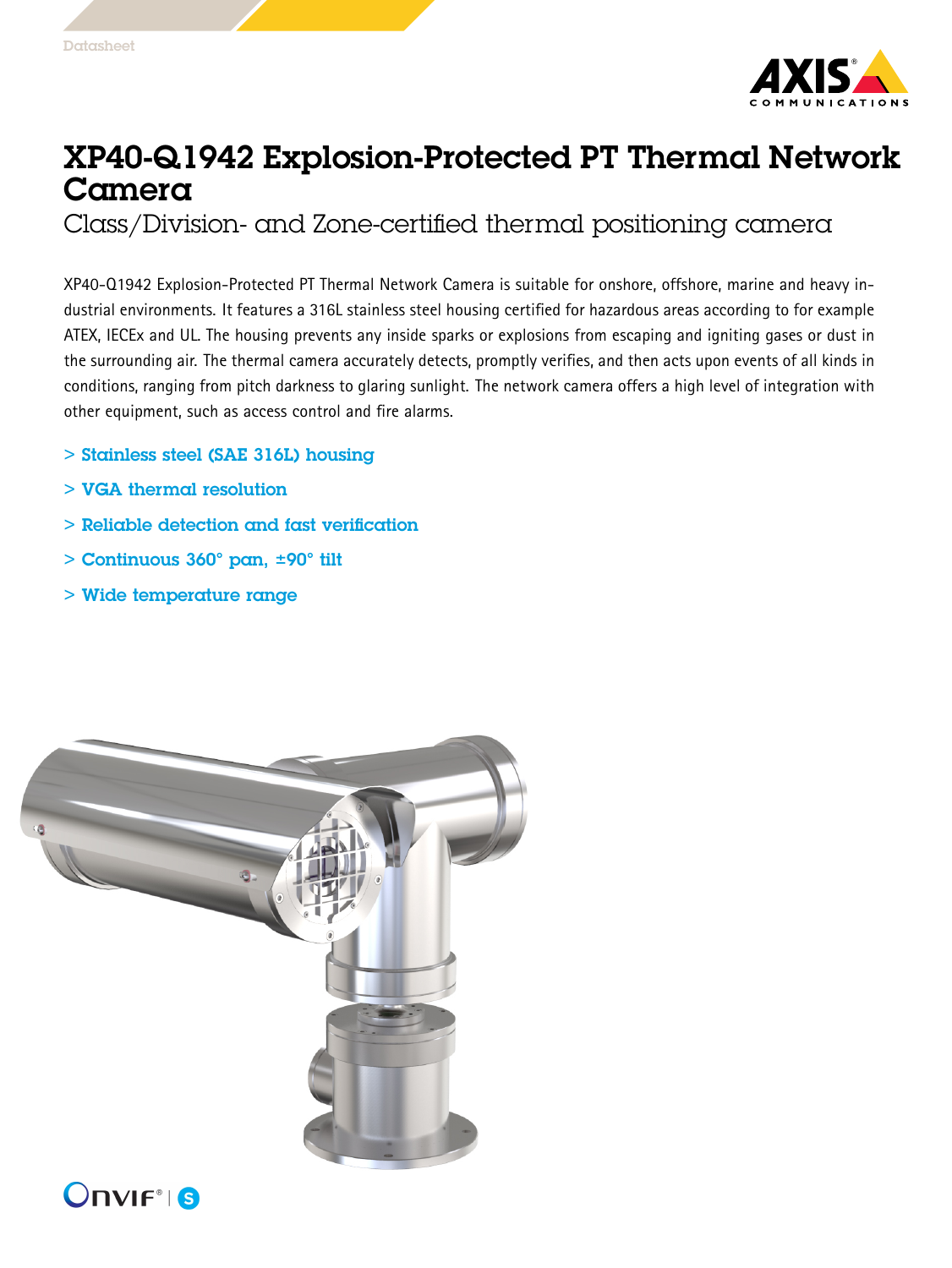

## XP40-Q1942 Explosion-Protected PT Thermal Network Camera

Class/Division- and Zone-certified thermal positioning camera

XP40-Q1942 Explosion-Protected PT Thermal Network Camera is suitable for onshore, offshore, marine and heavy industrial environments. It features <sup>a</sup> 316L stainless steel housing certified for hazardous areas according to for example ATEX, IECEx and UL. The housing prevents any inside sparks or explosions from escaping and igniting gases or dust in the surrounding air. The thermal camera accurately detects, promptly verifies, and then acts upon events of all kinds in conditions, ranging from pitch darkness to glaring sunlight. The network camera offers <sup>a</sup> high level of integration with other equipment, such as access control and fire alarms.

- > Stainless steel (SAE 316L) housing
- > VGA thermal resolution
- > Reliable detection and fast verification
- > Continuous 360° pan, ±90° tilt
- > Wide temperature range

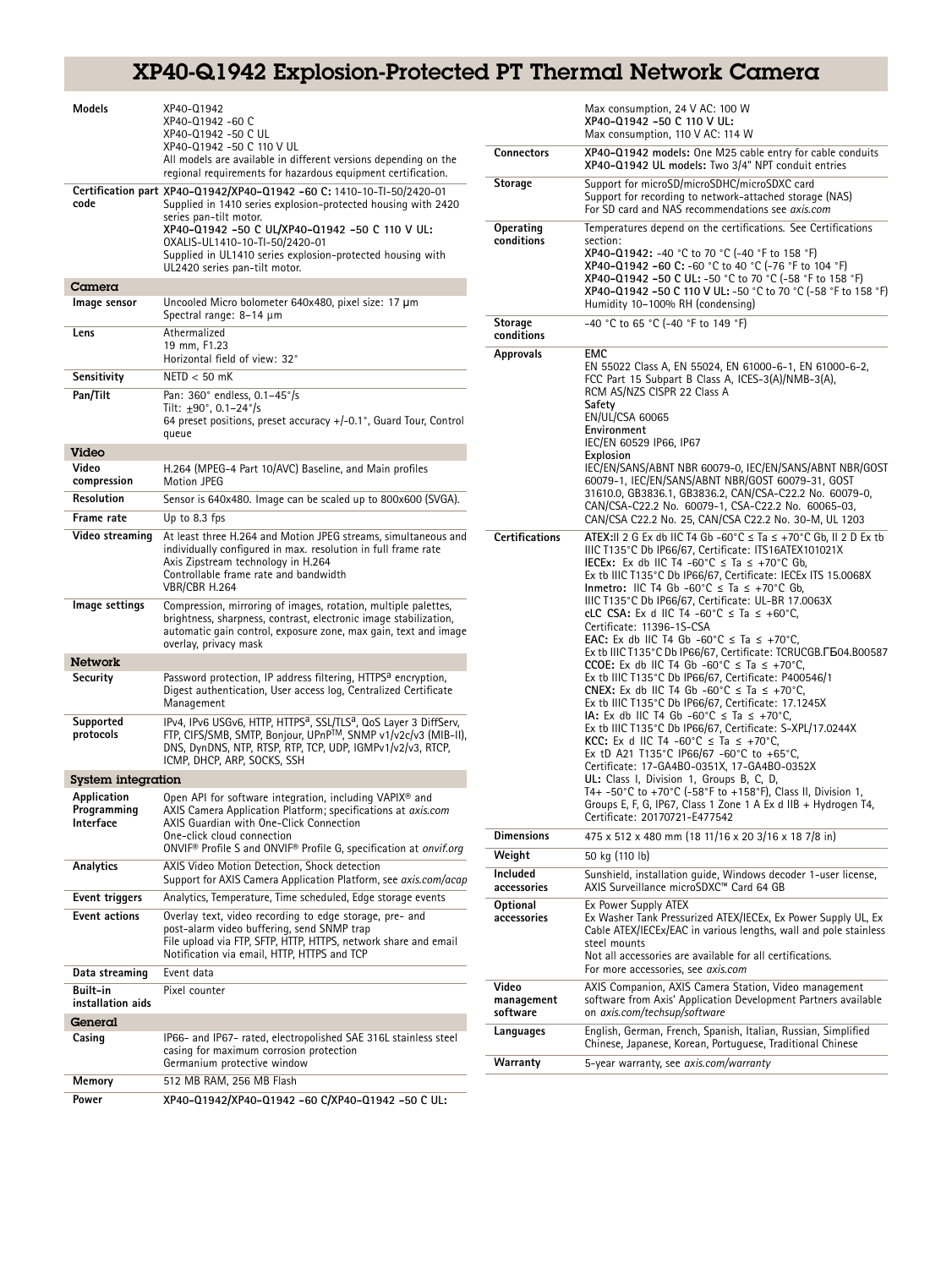## XP40-Q1942 Explosion-Protected PT Thermal Network Camera

| Models                                  | XP40-Q1942<br>XP40-Q1942 -60 C<br>XP40-Q1942 -50 C UL                                                                                                                                                                                                   |                                 | Max consumption, 24 V AC: 100 W<br>XP40-Q1942 -50 C 110 V UL:<br>Max consumption, 110 V AC: 114 W                                                                                                                                                                                                                                                                                                                                                                                                                                                                                                                                                                                                                                                                                                                   |
|-----------------------------------------|---------------------------------------------------------------------------------------------------------------------------------------------------------------------------------------------------------------------------------------------------------|---------------------------------|---------------------------------------------------------------------------------------------------------------------------------------------------------------------------------------------------------------------------------------------------------------------------------------------------------------------------------------------------------------------------------------------------------------------------------------------------------------------------------------------------------------------------------------------------------------------------------------------------------------------------------------------------------------------------------------------------------------------------------------------------------------------------------------------------------------------|
|                                         | XP40-Q1942 -50 C 110 V UL<br>All models are available in different versions depending on the<br>regional requirements for hazardous equipment certification.                                                                                            | Connectors                      | XP40-01942 models: One M25 cable entry for cable conduits<br>XP40-Q1942 UL models: Two 3/4" NPT conduit entries                                                                                                                                                                                                                                                                                                                                                                                                                                                                                                                                                                                                                                                                                                     |
| code                                    | Certification part XP40-Q1942/XP40-Q1942     -60         C: 1410-10-Tl-50/2420-01<br>Supplied in 1410 series explosion-protected housing with 2420<br>series pan-tilt motor.                                                                            | Storage                         | Support for microSD/microSDHC/microSDXC card<br>Support for recording to network-attached storage (NAS)<br>For SD card and NAS recommendations see axis.com                                                                                                                                                                                                                                                                                                                                                                                                                                                                                                                                                                                                                                                         |
|                                         | XP40-Q1942 -50 C UL/XP40-Q1942 -50 C 110 V UL:<br>0XALIS-UL1410-10-TI-50/2420-01<br>Supplied in UL1410 series explosion-protected housing with<br>UL2420 series pan-tilt motor.                                                                         | Operating<br>conditions         | Temperatures depend on the certifications. See Certifications<br>section:<br>XP40-Q1942: -40 °C to 70 °C (-40 °F to 158 °F)<br>XP40-Q1942 -60 C: -60 °C to 40 °C (-76 °F to 104 °F)<br>XP40-Q1942 -50 C UL: -50 °C to 70 °C (-58 °F to 158 °F)                                                                                                                                                                                                                                                                                                                                                                                                                                                                                                                                                                      |
| Camera                                  |                                                                                                                                                                                                                                                         |                                 | XP40-Q1942 -50 C 110 V UL: -50 °C to 70 °C (-58 °F to 158 °F)                                                                                                                                                                                                                                                                                                                                                                                                                                                                                                                                                                                                                                                                                                                                                       |
| Image sensor                            | Uncooled Micro bolometer 640x480, pixel size: 17 µm<br>Spectral range: 8-14 µm                                                                                                                                                                          | <b>Storage</b>                  | Humidity 10-100% RH (condensing)<br>-40 °C to 65 °C (-40 °F to 149 °F)                                                                                                                                                                                                                                                                                                                                                                                                                                                                                                                                                                                                                                                                                                                                              |
| Lens                                    | Athermalized<br>19 mm, F1.23<br>Horizontal field of view: 32°                                                                                                                                                                                           | conditions<br><b>Approvals</b>  | <b>EMC</b>                                                                                                                                                                                                                                                                                                                                                                                                                                                                                                                                                                                                                                                                                                                                                                                                          |
| Sensitivity                             | $NETD < 50$ mK                                                                                                                                                                                                                                          |                                 | EN 55022 Class A, EN 55024, EN 61000-6-1, EN 61000-6-2,<br>FCC Part 15 Subpart B Class A, ICES-3(A)/NMB-3(A),                                                                                                                                                                                                                                                                                                                                                                                                                                                                                                                                                                                                                                                                                                       |
| Pan/Tilt                                | Pan: 360° endless, 0.1-45°/s<br>Tilt: $\pm 90^{\circ}$ , 0.1-24 $^{\circ}/s$<br>64 preset positions, preset accuracy +/-0.1°, Guard Tour, Control<br>queue                                                                                              |                                 | RCM AS/NZS CISPR 22 Class A<br>Safety<br>EN/UL/CSA 60065<br>Environment<br>IEC/EN 60529 IP66, IP67                                                                                                                                                                                                                                                                                                                                                                                                                                                                                                                                                                                                                                                                                                                  |
| Video                                   |                                                                                                                                                                                                                                                         |                                 | Explosion                                                                                                                                                                                                                                                                                                                                                                                                                                                                                                                                                                                                                                                                                                                                                                                                           |
| Video<br>compression                    | H.264 (MPEG-4 Part 10/AVC) Baseline, and Main profiles<br>Motion JPEG                                                                                                                                                                                   |                                 | IEC/EN/SANS/ABNT NBR 60079-0, IEC/EN/SANS/ABNT NBR/GOST<br>60079-1, IEC/EN/SANS/ABNT NBR/GOST 60079-31, GOST<br>31610.0, GB3836.1, GB3836.2, CAN/CSA-C22.2 No. 60079-0,<br>CAN/CSA-C22.2 No. 60079-1, CSA-C22.2 No. 60065-03,<br>CAN/CSA C22.2 No. 25, CAN/CSA C22.2 No. 30-M, UL 1203<br>ATEX:II 2 G Ex db IIC T4 Gb -60°C $\leq$ Ta $\leq$ +70°C Gb, II 2 D Ex tb<br>IIIC T135°C Db IP66/67, Certificate: ITS16ATEX101021X<br>IECEx: Ex db IIC T4 -60°C $\leq$ Ta $\leq$ +70°C Gb,<br>Ex tb IIIC T135°C Db IP66/67, Certificate: IECEx ITS 15.0068X<br>Inmetro: IIC T4 Gb -60°C $\leq$ Ta $\leq$ +70°C Gb,<br>IIIC T135°C Db IP66/67, Certificate: UL-BR 17.0063X<br>eLC CSA: Ex d IIC T4 -60°C $\leq$ Ta $\leq$ +60°C,<br>Certificate: 11396-1S-CSA<br><b>EAC:</b> Ex db IIC T4 Gb -60°C $\leq$ Ta $\leq$ +70°C, |
| Resolution                              | Sensor is 640x480. Image can be scaled up to 800x600 (SVGA).                                                                                                                                                                                            |                                 |                                                                                                                                                                                                                                                                                                                                                                                                                                                                                                                                                                                                                                                                                                                                                                                                                     |
| Frame rate                              | Up to 8.3 fps                                                                                                                                                                                                                                           |                                 |                                                                                                                                                                                                                                                                                                                                                                                                                                                                                                                                                                                                                                                                                                                                                                                                                     |
| Video streaming                         | At least three H.264 and Motion JPEG streams, simultaneous and<br>individually configured in max. resolution in full frame rate<br>Axis Zipstream technology in H.264<br>Controllable frame rate and bandwidth<br>VBR/CBR H.264                         | <b>Certifications</b>           |                                                                                                                                                                                                                                                                                                                                                                                                                                                                                                                                                                                                                                                                                                                                                                                                                     |
| Image settings                          | Compression, mirroring of images, rotation, multiple palettes,<br>brightness, sharpness, contrast, electronic image stabilization,<br>automatic gain control, exposure zone, max gain, text and image<br>overlay, privacy mask                          |                                 |                                                                                                                                                                                                                                                                                                                                                                                                                                                                                                                                                                                                                                                                                                                                                                                                                     |
| <b>Network</b>                          |                                                                                                                                                                                                                                                         |                                 | Ex tb IIIC T135°C Db IP66/67, Certificate: TCRUCGB. F 504. B00587<br>CCOE: Ex db IIC T4 Gb -60°C $\leq$ Ta $\leq$ +70°C,                                                                                                                                                                                                                                                                                                                                                                                                                                                                                                                                                                                                                                                                                            |
| Security                                | Password protection, IP address filtering, HTTPS <sup>a</sup> encryption,<br>Digest authentication, User access log, Centralized Certificate<br>Management                                                                                              |                                 | Ex tb IIIC T135°C Db IP66/67, Certificate: P400546/1<br>CNEX: Ex db IIC T4 Gb -60°C $\leq$ Ta $\leq$ +70°C,<br>Ex tb IIIC T135°C Db IP66/67, Certificate: 17.1245X<br>IA: Ex db IIC T4 Gb -60°C $\leq$ Ta $\leq$ +70°C,<br>Ex tb IIIC T135°C Db IP66/67, Certificate: S-XPL/17.0244X<br>KCC: Ex d IIC T4 -60°C $\leq$ Ta $\leq$ +70°C,<br>Ex tD A21 T135°C IP66/67 -60°C to +65°C,<br>Certificate: 17-GA4BO-0351X, 17-GA4BO-0352X                                                                                                                                                                                                                                                                                                                                                                                   |
| Supported<br>protocols                  | IPv4, IPv6 USGv6, HTTP, HTTPS <sup>a</sup> , SSL/TLS <sup>a</sup> , QoS Layer 3 DiffServ,<br>FTP, CIFS/SMB, SMTP, Bonjour, UPnP™, SNMP v1/v2c/v3 (MIB-II),<br>DNS, DynDNS, NTP, RTSP, RTP, TCP, UDP, IGMPv1/v2/v3, RTCP,<br>ICMP, DHCP, ARP, SOCKS, SSH |                                 |                                                                                                                                                                                                                                                                                                                                                                                                                                                                                                                                                                                                                                                                                                                                                                                                                     |
| System integration                      |                                                                                                                                                                                                                                                         |                                 | UL: Class I, Division 1, Groups B, C, D,                                                                                                                                                                                                                                                                                                                                                                                                                                                                                                                                                                                                                                                                                                                                                                            |
| Application<br>Programming<br>Interface | Open API for software integration, including VAPIX <sup>®</sup> and<br>AXIS Camera Application Platform; specifications at axis.com<br>AXIS Guardian with One-Click Connection                                                                          |                                 | T4+ -50°C to +70°C (-58°F to +158°F), Class II, Division 1,<br>Groups E, F, G, IP67, Class 1 Zone 1 A Ex d IIB + Hydrogen T4,<br>Certificate: 20170721-E477542                                                                                                                                                                                                                                                                                                                                                                                                                                                                                                                                                                                                                                                      |
|                                         | One-click cloud connection<br>ONVIF <sup>®</sup> Profile S and ONVIF <sup>®</sup> Profile G, specification at onvif.org                                                                                                                                 | <b>Dimensions</b>               | 475 x 512 x 480 mm (18 11/16 x 20 3/16 x 18 7/8 in)                                                                                                                                                                                                                                                                                                                                                                                                                                                                                                                                                                                                                                                                                                                                                                 |
| Analytics                               | AXIS Video Motion Detection, Shock detection                                                                                                                                                                                                            | Weight<br>Included              | 50 kg (110 lb)<br>Sunshield, installation quide, Windows decoder 1-user license,                                                                                                                                                                                                                                                                                                                                                                                                                                                                                                                                                                                                                                                                                                                                    |
| <b>Event triggers</b>                   | Support for AXIS Camera Application Platform, see axis.com/acap<br>Analytics, Temperature, Time scheduled, Edge storage events                                                                                                                          | accessories                     | AXIS Surveillance microSDXC™ Card 64 GB                                                                                                                                                                                                                                                                                                                                                                                                                                                                                                                                                                                                                                                                                                                                                                             |
| Event actions                           | Overlay text, video recording to edge storage, pre- and                                                                                                                                                                                                 | Optional                        | Ex Power Supply ATEX                                                                                                                                                                                                                                                                                                                                                                                                                                                                                                                                                                                                                                                                                                                                                                                                |
|                                         | post-alarm video buffering, send SNMP trap<br>File upload via FTP, SFTP, HTTP, HTTPS, network share and email<br>Notification via email, HTTP, HTTPS and TCP                                                                                            | accessories                     | Ex Washer Tank Pressurized ATEX/IECEx, Ex Power Supply UL, Ex<br>Cable ATEX/IECEx/EAC in various lengths, wall and pole stainless<br>steel mounts<br>Not all accessories are available for all certifications.                                                                                                                                                                                                                                                                                                                                                                                                                                                                                                                                                                                                      |
| Data streaming                          | Event data                                                                                                                                                                                                                                              |                                 | For more accessories, see axis.com                                                                                                                                                                                                                                                                                                                                                                                                                                                                                                                                                                                                                                                                                                                                                                                  |
| Built-in<br>installation aids           | Pixel counter                                                                                                                                                                                                                                           | Video<br>management<br>software | AXIS Companion, AXIS Camera Station, Video management<br>software from Axis' Application Development Partners available<br>on axis.com/techsup/software                                                                                                                                                                                                                                                                                                                                                                                                                                                                                                                                                                                                                                                             |
| General<br>Casing                       | IP66- and IP67- rated, electropolished SAE 316L stainless steel                                                                                                                                                                                         | Languages                       | English, German, French, Spanish, Italian, Russian, Simplified<br>Chinese, Japanese, Korean, Portuguese, Traditional Chinese                                                                                                                                                                                                                                                                                                                                                                                                                                                                                                                                                                                                                                                                                        |
|                                         | casing for maximum corrosion protection<br>Germanium protective window                                                                                                                                                                                  | Warranty                        | 5-year warranty, see axis.com/warranty                                                                                                                                                                                                                                                                                                                                                                                                                                                                                                                                                                                                                                                                                                                                                                              |
| Memory                                  | 512 MB RAM, 256 MB Flash                                                                                                                                                                                                                                |                                 |                                                                                                                                                                                                                                                                                                                                                                                                                                                                                                                                                                                                                                                                                                                                                                                                                     |
| Power                                   | XP40-01942/XP40-01942 -60 C/XP40-01942 -50 C UL:                                                                                                                                                                                                        |                                 |                                                                                                                                                                                                                                                                                                                                                                                                                                                                                                                                                                                                                                                                                                                                                                                                                     |